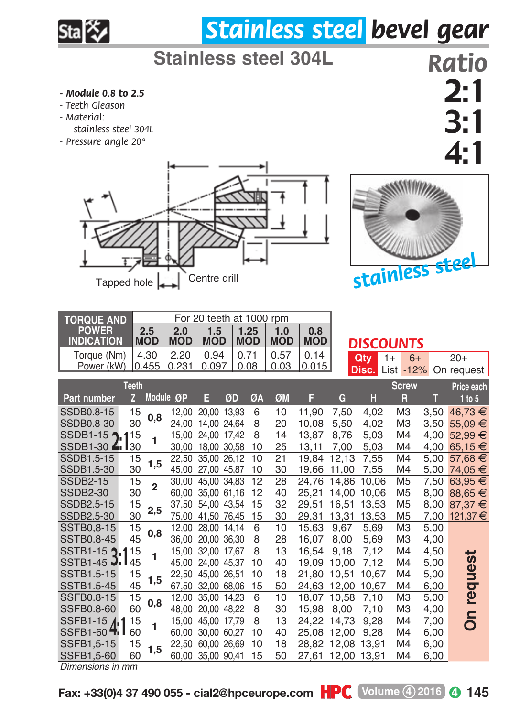

## *Stainless steel bevel gear*

## **Stainless steel 304L**

- *Module 0.8 to 2.5*
- *Teeth Gleason*
- *M aterial:* 
	- *stainless steel 304L*
- *Pressure angle 20°*





*Ratio* 2:1 3:1 4:1

| <b>TORQUE AND</b>                          |                | For 20 teeth at 1000 rpm |            |                   |       |            |            |             |       |             |                  |      |               |
|--------------------------------------------|----------------|--------------------------|------------|-------------------|-------|------------|------------|-------------|-------|-------------|------------------|------|---------------|
| <b>POWER</b>                               |                | 2.5                      | 2.0        | 1.5               |       | 1.25       | 1.0        | 0.8         |       |             |                  |      |               |
| <b>INDICATION</b>                          |                | <b>MOD</b>               | <b>MOD</b> | <b>MOD</b>        |       | <b>MOD</b> | <b>MOD</b> | <b>MOD</b>  |       |             | <b>DISCOUNTS</b> |      |               |
| Torque (Nm)                                |                | 4.30                     | 2.20       | 0.94              |       | 0.71       | 0.57       | 0.14        |       | Qtv         | $1+$<br>$6+$     |      | $20+$         |
| Power (kW)                                 |                | 0.455                    | 0.231      | 0.097             |       | 0.08       | 0.03       | 0.015       |       | Disc.       | List -12%        |      | On request    |
| <b>Teeth</b><br><b>Screw</b><br>Price each |                |                          |            |                   |       |            |            |             |       |             |                  |      |               |
| Part number                                | $\overline{z}$ | Module                   | ØP         | E                 | ØD    | ØA         | ØM         | F           | G     | н           | R                | т    | 1 to 5        |
| SSDB0.8-15                                 | 15             | 0,8                      | 12.00      | 20.00             | 13.93 | 6          | 10         | 11.90       | 7.50  | 4.02        | M <sub>3</sub>   | 3,50 | 46.73 €       |
| SSDB0.8-30                                 | 30             |                          | 24.00      | 14.00 24.64       |       | 8          | 20         | 10.08       | 5.50  | 4.02        | M <sub>3</sub>   | 3.50 | $55.09 \in$   |
| SSDB1-15 1115                              |                | 1                        | 15.00      | 24.00 17.42       |       | 8          | 14         | 13,87       | 8.76  | 5.03        | M <sub>4</sub>   | 4.00 | 52.99 €       |
| SSDB1-30 $\angle$ 130                      |                |                          | 30,00      | 18.00 30.58       |       | 10         | 25         | 13.11       | 7.00  | 5.03        | M <sub>4</sub>   | 4.00 | 65,15 $€$     |
| SSDB1.5-15                                 | 15             | 1,5                      | 22.50      | 35.00 26.12       |       | 10         | 21         | 19.84       | 12,13 | 7.55        | M4               | 5.00 | 57,68 €       |
| SSDB1.5-30                                 | 30             |                          |            | 45.00 27.00 45.87 |       | 10         | 30         | 19.66       | 11.00 | 7.55        | M <sub>4</sub>   |      | 5,00 74,05 €  |
| <b>SSDB2-15</b>                            | 15             | $\overline{2}$           |            | 30.00 45.00 34.83 |       | 12         | 28         | 24.76       | 14.86 | 10.06       | M <sub>5</sub>   | 7,50 | $63,95 \in$   |
| <b>SSDB2-30</b>                            | 30             |                          |            | 60.00 35.00 61.16 |       | 12         | 40         | 25.21       | 14.00 | 10.06       | M <sub>5</sub>   | 8.00 | 88,65 €       |
| SSDB2.5-15                                 | 15             | 2,5                      | 37.50      | 54.00 43.54       |       | 15         | 32         | 29,51       | 16.51 | 13.53       | M <sub>5</sub>   | 8,00 | 87,37 €       |
| SSDB2.5-30                                 | 30             |                          | 75.00      | 41.50 76.45       |       | 15         | 30         | 29.31       | 13,31 | 13,53       | M <sub>5</sub>   |      | 7,00 121,37 € |
| <b>SSTB0.8-15</b>                          | 15             | 0,8                      |            | 12.00 28.00 14.14 |       | 6          | 10         | 15,63       | 9.67  | 5,69        | MЗ               | 5,00 |               |
| <b>SSTB0.8-45</b>                          | 45             |                          | 36,00      | 20.00 36.30       |       | 8          | 28         | 16,07       | 8,00  | 5,69        | M <sub>3</sub>   | 4,00 |               |
| SSTB1-15 2.1                               | 15             | 1                        | 15.00      | 32.00 17.67       |       | 8          | 13         | 16,54       | 9,18  | 7.12        | M4               | 4.50 | ىپ            |
| SSTB <sub>1</sub> -45 $J1$                 | 45             |                          |            | 45.00 24.00 45.37 |       | 10         | 40         | 19.09       | 10.00 | 7.12        | M <sub>4</sub>   | 5.00 |               |
| SSTB1.5-15                                 | 15             | 1,5                      |            | 22.50 45.00 26.51 |       | 10         | 18         | 21.80       | 10.51 | 10.67       | M <sub>4</sub>   | 5,00 | quest         |
| SSTB1.5-45                                 | 45             |                          | 67.50      | 32.00 68.06       |       | 15         | 50         | 24.63       | 12.00 | 10.67       | M <sub>4</sub>   | 6.00 |               |
| SSFB0.8-15                                 | 15             | 0,8                      | 12.00      | 35.00 14.23       |       | 6          | 10         | 18.07       | 10.58 | 7,10        | M <sub>3</sub>   | 5,00 | ē             |
| <b>SSFB0.8-60</b>                          | 60             |                          | 48,00      | 20.00 48.22       |       | 8          | 30         | 15,98       | 8,00  | 7.10        | M <sub>3</sub>   | 4,00 |               |
| SSFB1-15 11                                | 15             | 1                        | 15.00      | 45.00 17.79       |       | 8          | 13         | 24,22       | 14,73 | 9,28        | M <sub>4</sub>   | 7,00 | å             |
| SSFB1-60 4.1 60                            |                |                          | 60.00      | 30.00 60.27       |       | 10         | 40         | 25.08 12.00 |       | 9.28        | M <sub>4</sub>   | 6,00 |               |
| SSFB1.5-15                                 | 15             | 1.5                      | 22.50      | 60.00 26.69       |       | 10         | 18         | 28.82       |       | 12,08 13,91 | M <sub>4</sub>   | 6,00 |               |
| SSFB1.5-60                                 | 60             |                          | 60.00      | 35.00 90.41       |       | 15         | 50         | 27.61       |       | 12.00 13.91 | M <sub>4</sub>   | 6,00 |               |
| Dimensions in mm                           |                |                          |            |                   |       |            |            |             |       |             |                  |      |               |